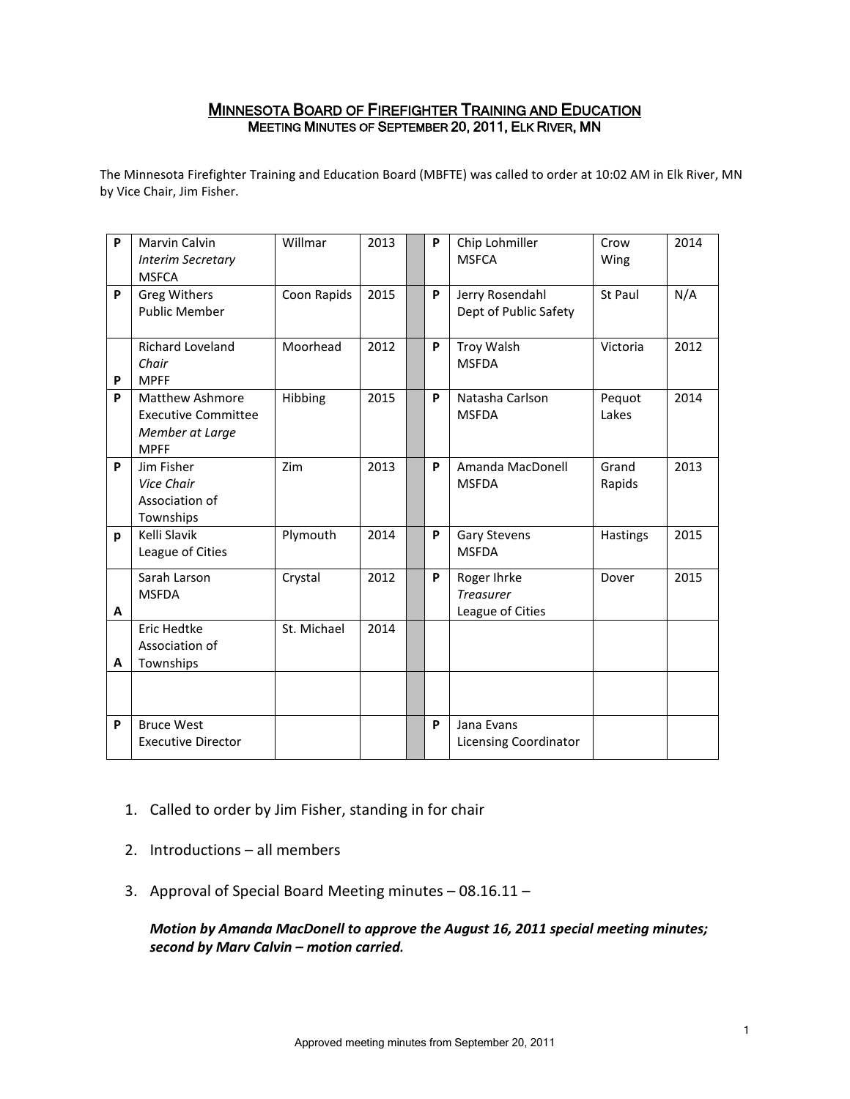# MINNESOTA BOARD OF FIREFIGHTER TRAINING AND EDUCATION MEETING MINUTES OF SEPTEMBER 20, 2011, ELK RIVER, MN

The Minnesota Firefighter Training and Education Board (MBFTE) was called to order at 10:02 AM in Elk River, MN by Vice Chair, Jim Fisher.

| P | Marvin Calvin<br><b>Interim Secretary</b><br><b>MSFCA</b>                              | Willmar     | 2013 | P | Chip Lohmiller<br><b>MSFCA</b>                      | Crow<br>Wing    | 2014 |
|---|----------------------------------------------------------------------------------------|-------------|------|---|-----------------------------------------------------|-----------------|------|
| P | <b>Greg Withers</b><br><b>Public Member</b>                                            | Coon Rapids | 2015 | P | Jerry Rosendahl<br>Dept of Public Safety            | St Paul         | N/A  |
| P | <b>Richard Loveland</b><br>Chair<br><b>MPFF</b>                                        | Moorhead    | 2012 | P | Troy Walsh<br><b>MSFDA</b>                          | Victoria        | 2012 |
| P | <b>Matthew Ashmore</b><br><b>Executive Committee</b><br>Member at Large<br><b>MPFF</b> | Hibbing     | 2015 | P | Natasha Carlson<br><b>MSFDA</b>                     | Pequot<br>Lakes | 2014 |
| P | Jim Fisher<br>Vice Chair<br>Association of<br>Townships                                | Zim         | 2013 | P | Amanda MacDonell<br><b>MSFDA</b>                    | Grand<br>Rapids | 2013 |
| p | Kelli Slavik<br>League of Cities                                                       | Plymouth    | 2014 | P | <b>Gary Stevens</b><br><b>MSFDA</b>                 | Hastings        | 2015 |
| A | Sarah Larson<br><b>MSFDA</b>                                                           | Crystal     | 2012 | P | Roger Ihrke<br><b>Treasurer</b><br>League of Cities | Dover           | 2015 |
| A | <b>Eric Hedtke</b><br>Association of<br>Townships                                      | St. Michael | 2014 |   |                                                     |                 |      |
|   |                                                                                        |             |      |   |                                                     |                 |      |
| P | <b>Bruce West</b><br><b>Executive Director</b>                                         |             |      | P | Jana Evans<br>Licensing Coordinator                 |                 |      |

- 1. Called to order by Jim Fisher, standing in for chair
- 2. Introductions all members
- 3. Approval of Special Board Meeting minutes 08.16.11 –

*Motion by Amanda MacDonell to approve the August 16, 2011 special meeting minutes; second by Marv Calvin – motion carried.*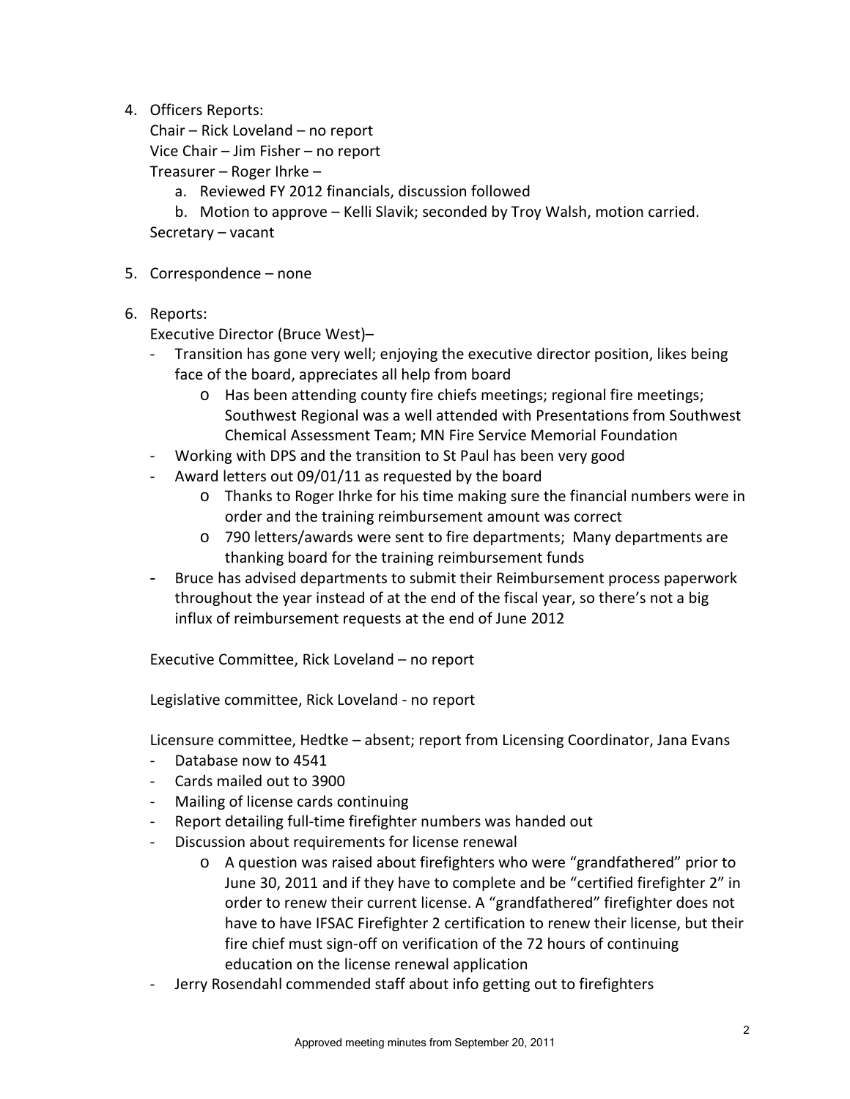4. Officers Reports:

Chair – Rick Loveland – no report Vice Chair – Jim Fisher – no report

Treasurer – Roger Ihrke –

a. Reviewed FY 2012 financials, discussion followed

b. Motion to approve – Kelli Slavik; seconded by Troy Walsh, motion carried. Secretary – vacant

- 5. Correspondence none
- 6. Reports:

Executive Director (Bruce West)–

- Transition has gone very well; enjoying the executive director position, likes being face of the board, appreciates all help from board
	- o Has been attending county fire chiefs meetings; regional fire meetings; Southwest Regional was a well attended with Presentations from Southwest Chemical Assessment Team; MN Fire Service Memorial Foundation
- Working with DPS and the transition to St Paul has been very good
- Award letters out 09/01/11 as requested by the board
	- o Thanks to Roger Ihrke for his time making sure the financial numbers were in order and the training reimbursement amount was correct
	- o 790 letters/awards were sent to fire departments; Many departments are thanking board for the training reimbursement funds
- Bruce has advised departments to submit their Reimbursement process paperwork throughout the year instead of at the end of the fiscal year, so there's not a big influx of reimbursement requests at the end of June 2012

Executive Committee, Rick Loveland – no report

Legislative committee, Rick Loveland - no report

Licensure committee, Hedtke – absent; report from Licensing Coordinator, Jana Evans

- Database now to 4541
- Cards mailed out to 3900
- Mailing of license cards continuing
- Report detailing full-time firefighter numbers was handed out
- Discussion about requirements for license renewal
	- o A question was raised about firefighters who were "grandfathered" prior to June 30, 2011 and if they have to complete and be "certified firefighter 2" in order to renew their current license. A "grandfathered" firefighter does not have to have IFSAC Firefighter 2 certification to renew their license, but their fire chief must sign-off on verification of the 72 hours of continuing education on the license renewal application
- Jerry Rosendahl commended staff about info getting out to firefighters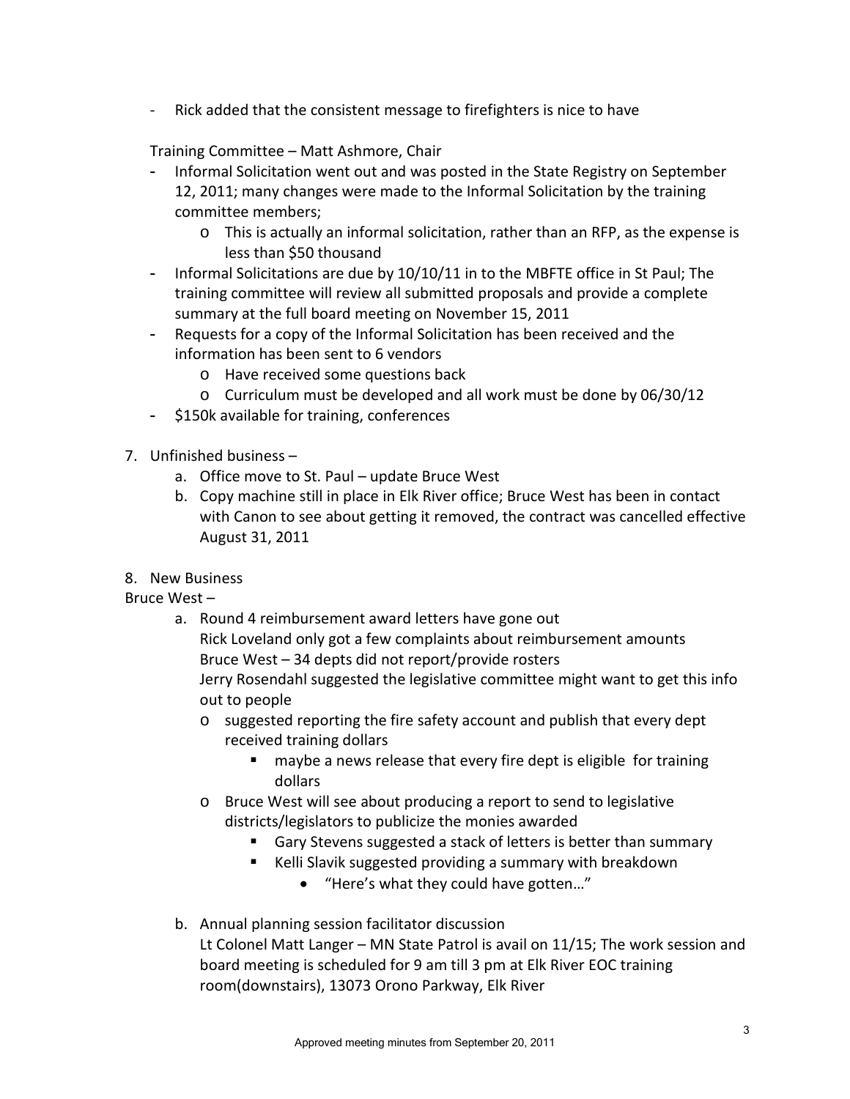- Rick added that the consistent message to firefighters is nice to have

Training Committee – Matt Ashmore, Chair

- Informal Solicitation went out and was posted in the State Registry on September 12, 2011; many changes were made to the Informal Solicitation by the training committee members;
	- o This is actually an informal solicitation, rather than an RFP, as the expense is less than \$50 thousand
- Informal Solicitations are due by 10/10/11 in to the MBFTE office in St Paul; The training committee will review all submitted proposals and provide a complete summary at the full board meeting on November 15, 2011
- Requests for a copy of the Informal Solicitation has been received and the information has been sent to 6 vendors
	- o Have received some questions back
	- o Curriculum must be developed and all work must be done by 06/30/12
- \$150k available for training, conferences
- 7. Unfinished business
	- a. Office move to St. Paul update Bruce West
	- b. Copy machine still in place in Elk River office; Bruce West has been in contact with Canon to see about getting it removed, the contract was cancelled effective August 31, 2011
- 8. New Business

Bruce West –

- a. Round 4 reimbursement award letters have gone out Rick Loveland only got a few complaints about reimbursement amounts Bruce West – 34 depts did not report/provide rosters Jerry Rosendahl suggested the legislative committee might want to get this info out to people
	- o suggested reporting the fire safety account and publish that every dept received training dollars
		- **nay be** a news release that every fire dept is eligible for training dollars
	- o Bruce West will see about producing a report to send to legislative districts/legislators to publicize the monies awarded
		- Gary Stevens suggested a stack of letters is better than summary
		- Kelli Slavik suggested providing a summary with breakdown
			- "Here's what they could have gotten…"
- b. Annual planning session facilitator discussion Lt Colonel Matt Langer – MN State Patrol is avail on 11/15; The work session and board meeting is scheduled for 9 am till 3 pm at Elk River EOC training room(downstairs), 13073 Orono Parkway, Elk River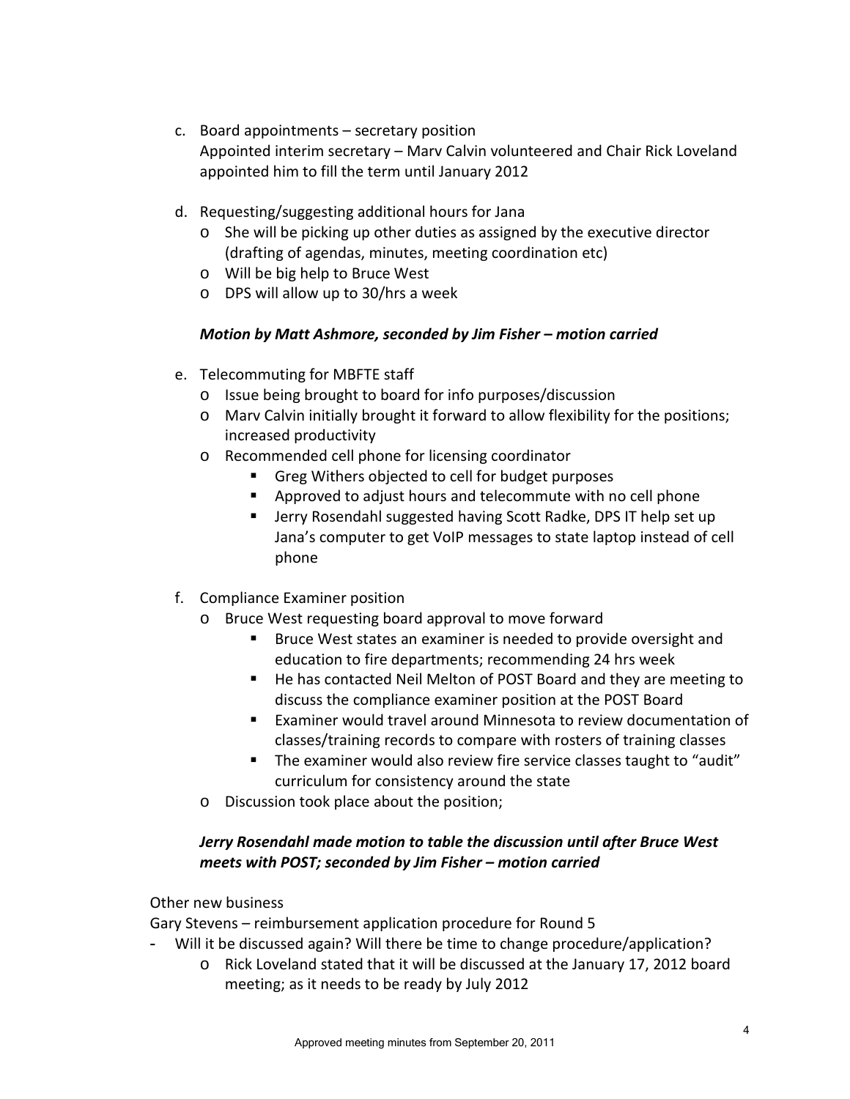- c. Board appointments secretary position Appointed interim secretary – Marv Calvin volunteered and Chair Rick Loveland appointed him to fill the term until January 2012
- d. Requesting/suggesting additional hours for Jana
	- o She will be picking up other duties as assigned by the executive director (drafting of agendas, minutes, meeting coordination etc)
	- o Will be big help to Bruce West
	- o DPS will allow up to 30/hrs a week

### *Motion by Matt Ashmore, seconded by Jim Fisher – motion carried*

- e. Telecommuting for MBFTE staff
	- o Issue being brought to board for info purposes/discussion
	- o Marv Calvin initially brought it forward to allow flexibility for the positions; increased productivity
	- o Recommended cell phone for licensing coordinator
		- Greg Withers objected to cell for budget purposes
		- **Approved to adjust hours and telecommute with no cell phone**
		- Jerry Rosendahl suggested having Scott Radke, DPS IT help set up Jana's computer to get VoIP messages to state laptop instead of cell phone
- f. Compliance Examiner position
	- o Bruce West requesting board approval to move forward
		- **Bruce West states an examiner is needed to provide oversight and** education to fire departments; recommending 24 hrs week
		- He has contacted Neil Melton of POST Board and they are meeting to discuss the compliance examiner position at the POST Board
		- Examiner would travel around Minnesota to review documentation of classes/training records to compare with rosters of training classes
		- The examiner would also review fire service classes taught to "audit" curriculum for consistency around the state
	- o Discussion took place about the position;

## *Jerry Rosendahl made motion to table the discussion until after Bruce West meets with POST; seconded by Jim Fisher – motion carried*

#### Other new business

Gary Stevens – reimbursement application procedure for Round 5

- Will it be discussed again? Will there be time to change procedure/application?
	- o Rick Loveland stated that it will be discussed at the January 17, 2012 board meeting; as it needs to be ready by July 2012